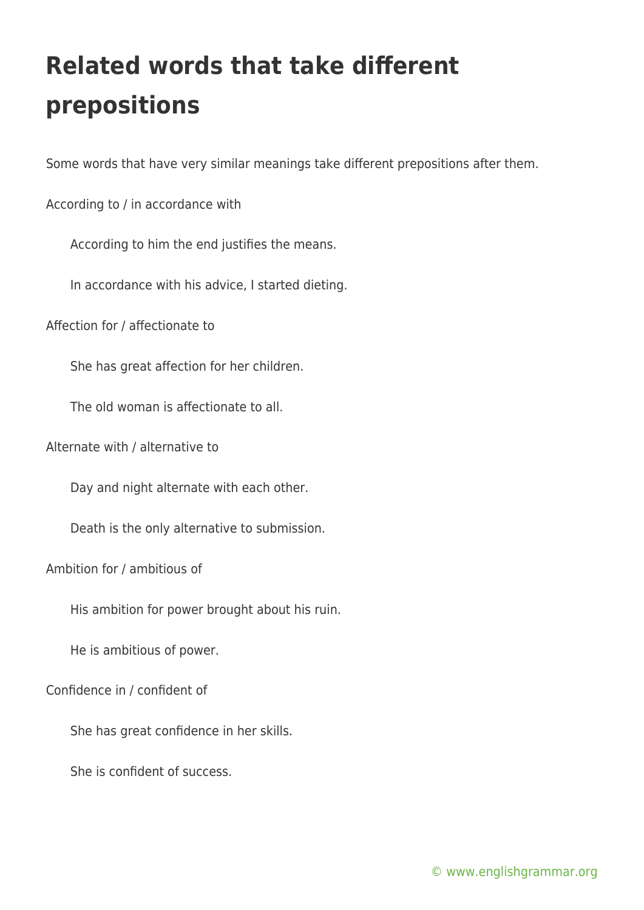## **Related words that take different prepositions**

Some words that have very similar meanings take different prepositions after them.

According to / in accordance with

According to him the end justifies the means.

In accordance with his advice, I started dieting.

Affection for / affectionate to

She has great affection for her children.

The old woman is affectionate to all.

Alternate with / alternative to

Day and night alternate with each other.

Death is the only alternative to submission.

Ambition for / ambitious of

His ambition for power brought about his ruin.

He is ambitious of power.

Confidence in / confident of

She has great confidence in her skills.

She is confident of success.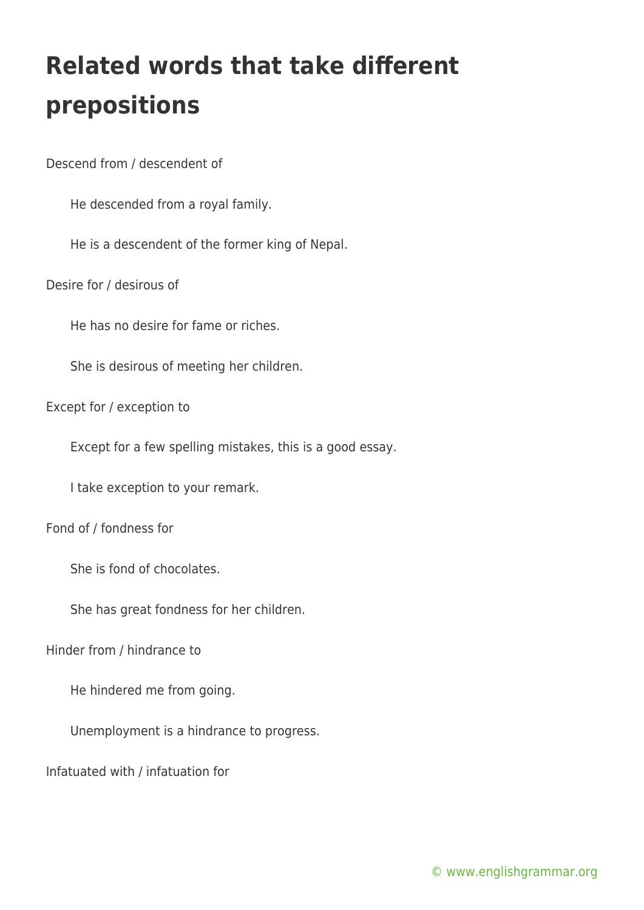## **Related words that take different prepositions**

Descend from / descendent of

He descended from a royal family.

He is a descendent of the former king of Nepal.

Desire for / desirous of

He has no desire for fame or riches.

She is desirous of meeting her children.

Except for / exception to

Except for a few spelling mistakes, this is a good essay.

I take exception to your remark.

Fond of / fondness for

She is fond of chocolates.

She has great fondness for her children.

Hinder from / hindrance to

He hindered me from going.

Unemployment is a hindrance to progress.

Infatuated with / infatuation for